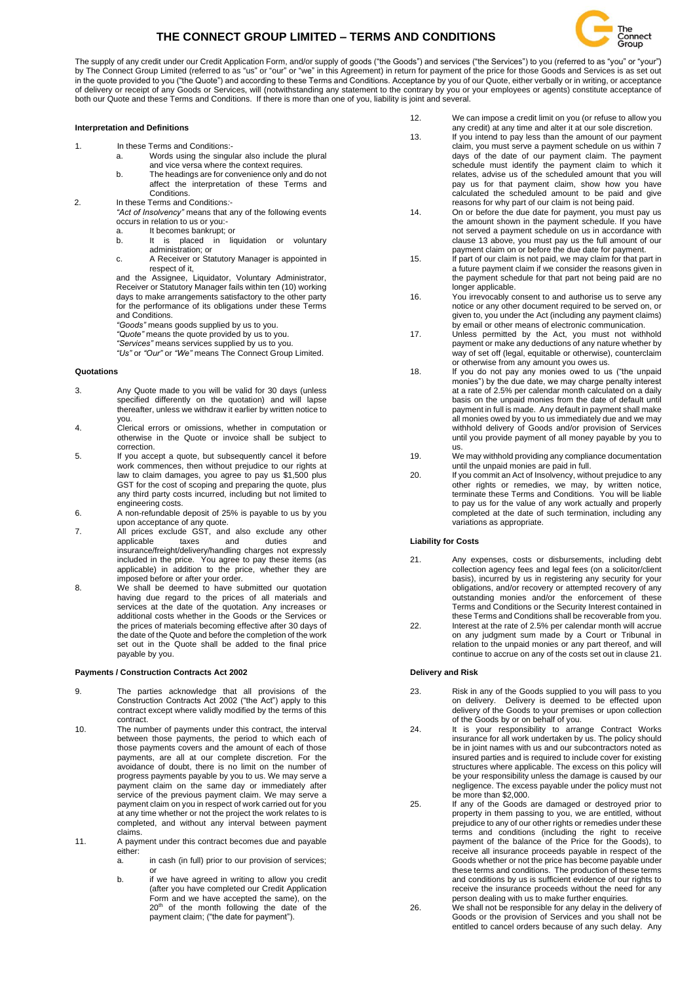# **THE CONNECT GROUP LIMITED – TERMS AND CONDITIONS**



The supply of any credit under our Credit Application Form, and/or supply of goods ("the Goods") and services ("the Services") to you (referred to as "you" or "your") by The Connect Group Limited (referred to as "us" or "our" or "we" in this Agreement) in return for payment of the price for those Goods and Services is as set out in the quote provided to you ("the Quote") and according to these Terms and Conditions. Acceptance by you of our Quote, either verbally or in writing, or acceptance of delivery or receipt of any Goods or Services, will (notwithstanding any statement to the contrary by you or your employees or agents) constitute acceptance of both our Quote and these Terms and Conditions. If there is more than one of you, liability is joint and several.

#### **Interpretation and Definitions**

- 1. In these Terms and Conditions:
	- a. Words using the singular also include the plural and vice versa where the context requires.
	- b. The headings are for convenience only and do not affect the interpretation of these Terms and
- Conditions. 2. In these Terms and Conditions*:-*
	- *"Act of Insolvency"* means that any of the following events
	- occurs in relation to us or you: a. It becomes bankrupt; or
	- b. It is placed in liquidation or voluntary administration; or
	- c. A Receiver or Statutory Manager is appointed in respect of it,

and the Assignee, Liquidator, Voluntary Administrator, Receiver or Statutory Manager fails within ten (10) working days to make arrangements satisfactory to the other party for the performance of its obligations under these Terms and Conditions.

- *"Goods"* means goods supplied by us to you.
- *"Quote"* means the quote provided by us to you.

*"Services"* means services supplied by us to you.

*"Us"* or *"Our"* or *"We"* means The Connect Group Limited.

#### **Quotations**

- 3. Any Quote made to you will be valid for 30 days (unless specified differently on the quotation) and will lapse thereafter, unless we withdraw it earlier by written notice to you.
- 4. Clerical errors or omissions, whether in computation or otherwise in the Quote or invoice shall be subject to correction.
- 5. If you accept a quote, but subsequently cancel it before work commences, then without prejudice to our rights at law to claim damages, you agree to pay us \$1,500 plus GST for the cost of scoping and preparing the quote, plus any third party costs incurred, including but not limited to engineering costs.
- 6. A non-refundable deposit of 25% is payable to us by you upon acceptance of any quote.
- 7. All prices exclude GST, and also exclude any other applicable taxes and duties and insurance/freight/delivery/handling charges not expressly included in the price. You agree to pay these items (as applicable) in addition to the price, whether they are imposed before or after your order.
- 8. We shall be deemed to have submitted our quotation having due regard to the prices of all materials and services at the date of the quotation. Any increases or additional costs whether in the Goods or the Services or the prices of materials becoming effective after 30 days of the date of the Quote and before the completion of the work set out in the Quote shall be added to the final price payable by you.

## **Payments / Construction Contracts Act 2002**

- 9. The parties acknowledge that all provisions of the Construction Contracts Act 2002 ("the Act") apply to this contract except where validly modified by the terms of this contract.
- 10. The number of payments under this contract, the interval between those payments, the period to which each of those payments covers and the amount of each of those payments, are all at our complete discretion. For the avoidance of doubt, there is no limit on the number of progress payments payable by you to us. We may serve a payment claim on the same day or immediately after service of the previous payment claim. We may serve a payment claim on you in respect of work carried out for you at any time whether or not the project the work relates to is completed, and without any interval between payment claims.
- 11. A payment under this contract becomes due and payable either:
	- a. in cash (in full) prior to our provision of services; or
	- b. if we have agreed in writing to allow you credit (after you have completed our Credit Application Form and we have accepted the same), on the 20<sup>th</sup> of the month following the date of the payment claim; ("the date for payment").
- 12. We can impose a credit limit on you (or refuse to allow you any credit) at any time and alter it at our sole discretion.
- 13. If you intend to pay less than the amount of our payment claim, you must serve a payment schedule on us within 7 days of the date of our payment claim. The payment schedule must identify the payment claim to which it relates, advise us of the scheduled amount that you will pay us for that payment claim, show how you have calculated the scheduled amount to be paid and give reasons for why part of our claim is not being paid.
- 14. On or before the due date for payment, you must pay us the amount shown in the payment schedule. If you have not served a payment schedule on us in accordance with clause 13 above, you must pay us the full amount of our payment claim on or before the due date for payment.
- 15. If part of our claim is not paid, we may claim for that part in a future payment claim if we consider the reasons given in the payment schedule for that part not being paid are no longer applicable.
- 16. You irrevocably consent to and authorise us to serve any notice or any other document required to be served on, or given to, you under the Act (including any payment claims) by email or other means of electronic communication.
- 17. Unless permitted by the Act, you must not withhold payment or make any deductions of any nature whether by way of set off (legal, equitable or otherwise), counterclaim or otherwise from any amount you owes us.
- 18. If you do not pay any monies owed to us ("the unpaid monies") by the due date, we may charge penalty interest at a rate of 2.5% per calendar month calculated on a daily basis on the unpaid monies from the date of default until payment in full is made. Any default in payment shall make all monies owed by you to us immediately due and we may withhold delivery of Goods and/or provision of Services until you provide payment of all money payable by you to us.
- 19. We may withhold providing any compliance documentation until the unpaid monies are paid in full.
- 20. If you commit an Act of Insolvency, without prejudice to any other rights or remedies, we may, by written notice, terminate these Terms and Conditions. You will be liable to pay us for the value of any work actually and properly completed at the date of such termination, including any variations as appropriate.

# **Liability for Costs**

- 21. Any expenses, costs or disbursements, including debt collection agency fees and legal fees (on a solicitor/client basis), incurred by us in registering any security for your obligations, and/or recovery or attempted recovery of any outstanding monies and/or the enforcement of these Terms and Conditions or the Security Interest contained in these Terms and Conditions shall be recoverable from you.
- 22. Interest at the rate of 2.5% per calendar month will accrue on any judgment sum made by a Court or Tribunal in relation to the unpaid monies or any part thereof, and will continue to accrue on any of the costs set out in clause 21.

## **Delivery and Risk**

- 23. Risk in any of the Goods supplied to you will pass to you on delivery. Delivery is deemed to be effected upon delivery of the Goods to your premises or upon collection of the Goods by or on behalf of you.
- 24. It is your responsibility to arrange Contract Works insurance for all work undertaken by us. The policy should be in joint names with us and our subcontractors noted as insured parties and is required to include cover for existing structures where applicable. The excess on this policy will be your responsibility unless the damage is caused by our negligence. The excess payable under the policy must not be more than \$2,000.
- 25. If any of the Goods are damaged or destroyed prior to property in them passing to you, we are entitled, without prejudice to any of our other rights or remedies under these terms and conditions (including the right to receive payment of the balance of the Price for the Goods), to receive all insurance proceeds payable in respect of the Goods whether or not the price has become payable under these terms and conditions. The production of these terms and conditions by us is sufficient evidence of our rights to receive the insurance proceeds without the need for any person dealing with us to make further enquiries.
- 26. We shall not be responsible for any delay in the delivery of Goods or the provision of Services and you shall not be entitled to cancel orders because of any such delay. Any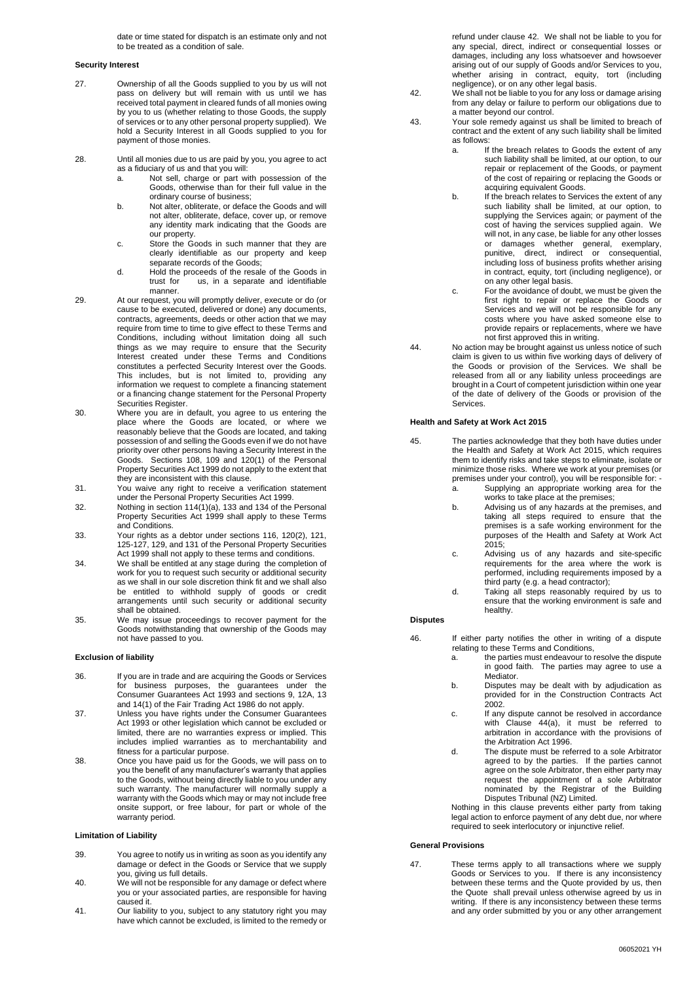date or time stated for dispatch is an estimate only and not to be treated as a condition of sale.

#### **Security Interest**

- 27. Ownership of all the Goods supplied to you by us will not pass on delivery but will remain with us until we has received total payment in cleared funds of all monies owing by you to us (whether relating to those Goods, the supply of services or to any other personal property supplied). We hold a Security Interest in all Goods supplied to you for payment of those monies.
- 28. Until all monies due to us are paid by you, you agree to act as a fiduciary of us and that you will:
	- a. Not sell, charge or part with possession of the Goods, otherwise than for their full value in the ordinary course of business;
	- b. Not alter, obliterate, or deface the Goods and will not alter, obliterate, deface, cover up, or remove any identity mark indicating that the Goods are our property.
	- c. Store the Goods in such manner that they are clearly identifiable as our property and keep separate records of the Goods;
	- d. Hold the proceeds of the resale of the Goods in trust for us, in a separate and identifiable manner.
- 29. At our request, you will promptly deliver, execute or do (or cause to be executed, delivered or done) any documents, contracts, agreements, deeds or other action that we may require from time to time to give effect to these Terms and Conditions, including without limitation doing all such things as we may require to ensure that the Security Interest created under these Terms and Conditions constitutes a perfected Security Interest over the Goods. This includes, but is not limited to, providing any information we request to complete a financing statement or a financing change statement for the Personal Property Securities Register.
- 30. Where you are in default, you agree to us entering the place where the Goods are located, or where we reasonably believe that the Goods are located, and taking possession of and selling the Goods even if we do not have priority over other persons having a Security Interest in the Goods. Sections 108, 109 and 120(1) of the Personal Property Securities Act 1999 do not apply to the extent that they are inconsistent with this clause.
- 31. You waive any right to receive a verification statement under the Personal Property Securities Act 1999.
- 32. Nothing in section  $114(1)(a)$ , 133 and 134 of the Personal Property Securities Act 1999 shall apply to these Terms and Conditions.
- 33. Your rights as a debtor under sections 116, 120(2), 121, 125-127, 129, and 131 of the Personal Property Securities Act 1999 shall not apply to these terms and conditions.
- 34. We shall be entitled at any stage during the completion of work for you to request such security or additional security as we shall in our sole discretion think fit and we shall also be entitled to withhold supply of goods or credit arrangements until such security or additional security shall be obtained.
- 35. We may issue proceedings to recover payment for the Goods notwithstanding that ownership of the Goods may not have passed to you.

#### **Exclusion of liability**

- 36. If you are in trade and are acquiring the Goods or Services for business purposes, the guarantees under the Consumer Guarantees Act 1993 and sections 9, 12A, 13 and 14(1) of the Fair Trading Act 1986 do not apply.
- 37. Unless you have rights under the Consumer Guarantees Act 1993 or other legislation which cannot be excluded or limited, there are no warranties express or implied. This includes implied warranties as to merchantability and fitness for a particular purpose.
- 38. Once you have paid us for the Goods, we will pass on to you the benefit of any manufacturer's warranty that applies to the Goods, without being directly liable to you under any such warranty. The manufacturer will normally supply a warranty with the Goods which may or may not include free onsite support, or free labour, for part or whole of the warranty period.

## **Limitation of Liability**

- 39. You agree to notify us in writing as soon as you identify any damage or defect in the Goods or Service that we supply you, giving us full details.
- 40. We will not be responsible for any damage or defect where you or your associated parties, are responsible for having caused it.
- 41. Our liability to you, subject to any statutory right you may have which cannot be excluded, is limited to the remedy or

refund under clause 42. We shall not be liable to you for any special, direct, indirect or consequential losses or damages, including any loss whatsoever and howsoever arising out of our supply of Goods and/or Services to you, whether arising in contract, equity, tort (including negligence), or on any other legal basis.

- 42. We shall not be liable to you for any loss or damage arising from any delay or failure to perform our obligations due to a matter beyond our control.
- 43. Your sole remedy against us shall be limited to breach of contract and the extent of any such liability shall be limited as follows:
	- a. If the breach relates to Goods the extent of any such liability shall be limited, at our option, to our repair or replacement of the Goods, or payment of the cost of repairing or replacing the Goods or acquiring equivalent Goods.
	- b. If the breach relates to Services the extent of any such liability shall be limited, at our option, to supplying the Services again; or payment of the cost of having the services supplied again. We will not, in any case, be liable for any other losses or damages whether general, exemplary, punitive, direct, indirect or consequential, including loss of business profits whether arising in contract, equity, tort (including negligence), or on any other legal basis.
	- c. For the avoidance of doubt, we must be given the first right to repair or replace the Goods or Services and we will not be responsible for any costs where you have asked someone else to provide repairs or replacements, where we have not first approved this in writing.
- 44. No action may be brought against us unless notice of such claim is given to us within five working days of delivery of the Goods or provision of the Services. We shall be released from all or any liability unless proceedings are brought in a Court of competent jurisdiction within one year of the date of delivery of the Goods or provision of the **Services**

#### **Health and Safety at Work Act 2015**

- 45. The parties acknowledge that they both have duties under the Health and Safety at Work Act 2015, which requires them to identify risks and take steps to eliminate, isolate or minimize those risks. Where we work at your premises (or premises under your control), you will be responsible for:
	- a. Supplying an appropriate working area for the works to take place at the premises;
	- b. Advising us of any hazards at the premises, and taking all steps required to ensure that the premises is a safe working environment for the purposes of the Health and Safety at Work Act 2015;
	- c. Advising us of any hazards and site-specific requirements for the area where the work is performed, including requirements imposed by a third party (e.g. a head contractor);
	- d. Taking all steps reasonably required by us to ensure that the working environment is safe and healthy.

#### **Disputes**

46. If either party notifies the other in writing of a dispute relating to these Terms and Conditions,

- a. the parties must endeavour to resolve the dispute in good faith. The parties may agree to use a Mediator.
- b. Disputes may be dealt with by adjudication as provided for in the Construction Contracts Act 2002.
- c. If any dispute cannot be resolved in accordance with Clause 44(a), it must be referred to arbitration in accordance with the provisions of the Arbitration Act 1996.
- d. The dispute must be referred to a sole Arbitrator agreed to by the parties. If the parties cannot agree on the sole Arbitrator, then either party may request the appointment of a sole Arbitrator nominated by the Registrar of the Building Disputes Tribunal (NZ) Limited.

Nothing in this clause prevents either party from taking legal action to enforce payment of any debt due, nor where required to seek interlocutory or injunctive relief*.* 

## **General Provisions**

47. These terms apply to all transactions where we supply Goods or Services to you. If there is any inconsistency between these terms and the Quote provided by us, then the Quote shall prevail unless otherwise agreed by us in writing. If there is any inconsistency between these terms and any order submitted by you or any other arrangement